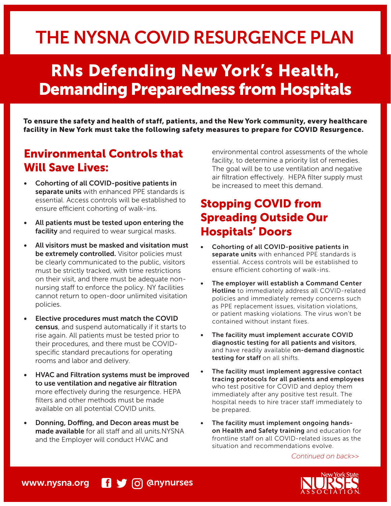# THE NYSNA COVID RESURGENCE PLAN

# RNs Defending New York's Health, Demanding Preparedness from Hospitals

To ensure the safety and health of staff, patients, and the New York community, every healthcare facility in New York must take the following safety measures to prepare for COVID Resurgence.

#### Environmental Controls that Will Save Lives:

- Cohorting of all COVID-positive patients in separate units with enhanced PPE standards is essential. Access controls will be established to ensure efficient cohorting of walk-ins.
- All patients must be tested upon entering the facility and required to wear surgical masks.
- All visitors must be masked and visitation must be extremely controlled. Visitor policies must be clearly communicated to the public, visitors must be strictly tracked, with time restrictions on their visit, and there must be adequate nonnursing staff to enforce the policy. NY facilities cannot return to open-door unlimited visitation policies.
- Elective procedures must match the COVID census, and suspend automatically if it starts to rise again. All patients must be tested prior to their procedures, and there must be COVIDspecific standard precautions for operating rooms and labor and delivery.
- HVAC and Filtration systems must be improved to use ventilation and negative air filtration more effectively during the resurgence. HEPA filters and other methods must be made available on all potential COVID units.
- Donning, Doffing, and Decon areas must be made available for all staff and all units.NYSNA and the Employer will conduct HVAC and

environmental control assessments of the whole facility, to determine a priority list of remedies. The goal will be to use ventilation and negative air filtration effectively. HEPA filter supply must be increased to meet this demand.

## Stopping COVID from Spreading Outside Our Hospitals' Doors

- Cohorting of all COVID-positive patients in separate units with enhanced PPE standards is essential. Access controls will be established to ensure efficient cohorting of walk-ins.
- The employer will establish a Command Center Hotline to immediately address all COVID-related policies and immediately remedy concerns such as PPE replacement issues, visitation violations, or patient masking violations. The virus won't be contained without instant fixes.
- The facility must implement accurate COVID diagnostic testing for all patients and visitors, and have readily available on-demand diagnostic testing for staff on all shifts.
- The facility must implement aggressive contact tracing protocols for all patients and employees who test positive for COVID and deploy them immediately after any positive test result. The hospital needs to hire tracer staff immediately to be prepared.
- The facility must implement ongoing handson Health and Safety training and education for frontline staff on all COVID-related issues as the situation and recommendations evolve.

*Continued on back>>*